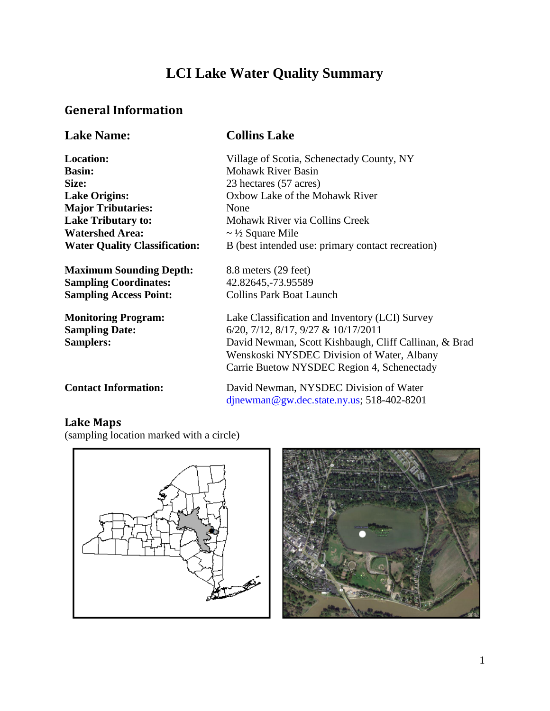## **LCI Lake Water Quality Summary**

## **General Information**

| <b>Lake Name:</b>                                                       | <b>Collins Lake</b>                                                                                                                                                                                                                                     |
|-------------------------------------------------------------------------|---------------------------------------------------------------------------------------------------------------------------------------------------------------------------------------------------------------------------------------------------------|
| <b>Location:</b>                                                        | Village of Scotia, Schenectady County, NY                                                                                                                                                                                                               |
| <b>Basin:</b>                                                           | <b>Mohawk River Basin</b>                                                                                                                                                                                                                               |
| Size:                                                                   | 23 hectares (57 acres)                                                                                                                                                                                                                                  |
| <b>Lake Origins:</b>                                                    | Oxbow Lake of the Mohawk River                                                                                                                                                                                                                          |
| <b>Major Tributaries:</b>                                               | None                                                                                                                                                                                                                                                    |
| <b>Lake Tributary to:</b>                                               | Mohawk River via Collins Creek                                                                                                                                                                                                                          |
| <b>Watershed Area:</b>                                                  | $\sim \frac{1}{2}$ Square Mile                                                                                                                                                                                                                          |
| <b>Water Quality Classification:</b>                                    | B (best intended use: primary contact recreation)                                                                                                                                                                                                       |
| <b>Maximum Sounding Depth:</b>                                          | 8.8 meters (29 feet)                                                                                                                                                                                                                                    |
| <b>Sampling Coordinates:</b>                                            | 42.82645,-73.95589                                                                                                                                                                                                                                      |
| <b>Sampling Access Point:</b>                                           | <b>Collins Park Boat Launch</b>                                                                                                                                                                                                                         |
| <b>Monitoring Program:</b><br><b>Sampling Date:</b><br><b>Samplers:</b> | Lake Classification and Inventory (LCI) Survey<br>$6/20$ , $7/12$ , $8/17$ , $9/27$ & $10/17/2011$<br>David Newman, Scott Kishbaugh, Cliff Callinan, & Brad<br>Wenskoski NYSDEC Division of Water, Albany<br>Carrie Buetow NYSDEC Region 4, Schenectady |
| <b>Contact Information:</b>                                             | David Newman, NYSDEC Division of Water<br>$d$ jnewman@gw.dec.state.ny.us; 518-402-8201                                                                                                                                                                  |

### **Lake Maps**

(sampling location marked with a circle)



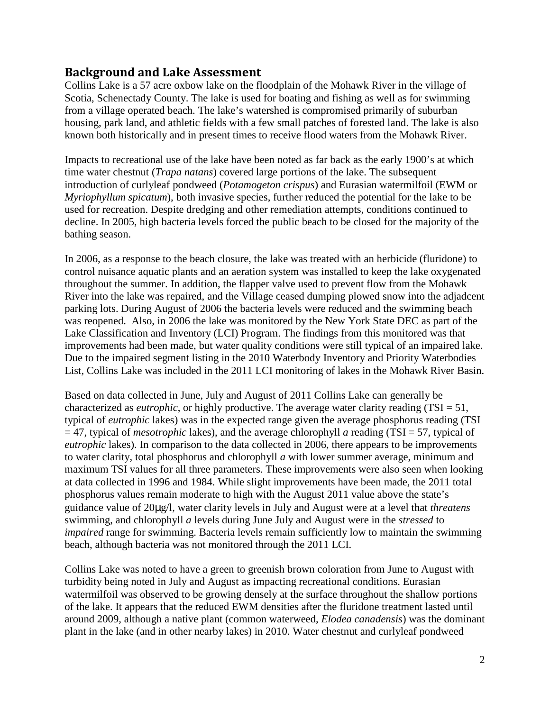### **Background and Lake Assessment**

 Scotia, Schenectady County. The lake is used for boating and fishing as well as for swimming housing, park land, and athletic fields with a few small patches of forested land. The lake is also Collins Lake is a 57 acre oxbow lake on the floodplain of the Mohawk River in the village of from a village operated beach. The lake's watershed is compromised primarily of suburban known both historically and in present times to receive flood waters from the Mohawk River.

 time water chestnut (*Trapa natans*) covered large portions of the lake. The subsequent introduction of curlyleaf pondweed (*Potamogeton crispus*) and Eurasian watermilfoil (EWM or  *Myriophyllum spicatum*), both invasive species, further reduced the potential for the lake to be used for recreation. Despite dredging and other remediation attempts, conditions continued to Impacts to recreational use of the lake have been noted as far back as the early 1900's at which decline. In 2005, high bacteria levels forced the public beach to be closed for the majority of the bathing season.

 In 2006, as a response to the beach closure, the lake was treated with an herbicide (fluridone) to List, Collins Lake was included in the 2011 LCI monitoring of lakes in the Mohawk River Basin. control nuisance aquatic plants and an aeration system was installed to keep the lake oxygenated throughout the summer. In addition, the flapper valve used to prevent flow from the Mohawk River into the lake was repaired, and the Village ceased dumping plowed snow into the adjadcent parking lots. During August of 2006 the bacteria levels were reduced and the swimming beach was reopened. Also, in 2006 the lake was monitored by the New York State DEC as part of the Lake Classification and Inventory (LCI) Program. The findings from this monitored was that improvements had been made, but water quality conditions were still typical of an impaired lake. Due to the impaired segment listing in the 2010 Waterbody Inventory and Priority Waterbodies

 = 47, typical of *mesotrophic* lakes), and the average chlorophyll *a* reading (TSI = 57, typical of to water clarity, total phosphorus and chlorophyll *a* with lower summer average, minimum and swimming, and chlorophyll *a* levels during June July and August were in the *stressed* to Based on data collected in June, July and August of 2011 Collins Lake can generally be characterized as *eutrophic*, or highly productive. The average water clarity reading (TSI = 51, typical of *eutrophic* lakes) was in the expected range given the average phosphorus reading (TSI *eutrophic* lakes). In comparison to the data collected in 2006, there appears to be improvements maximum TSI values for all three parameters. These improvements were also seen when looking at data collected in 1996 and 1984. While slight improvements have been made, the 2011 total phosphorus values remain moderate to high with the August 2011 value above the state's guidance value of 20 g/l, water clarity levels in July and August were at a level that *threatens impaired* range for swimming. Bacteria levels remain sufficiently low to maintain the swimming beach, although bacteria was not monitored through the 2011 LCI.

 watermilfoil was observed to be growing densely at the surface throughout the shallow portions Collins Lake was noted to have a green to greenish brown coloration from June to August with turbidity being noted in July and August as impacting recreational conditions. Eurasian of the lake. It appears that the reduced EWM densities after the fluridone treatment lasted until around 2009, although a native plant (common waterweed, *Elodea canadensis*) was the dominant plant in the lake (and in other nearby lakes) in 2010. Water chestnut and curlyleaf pondweed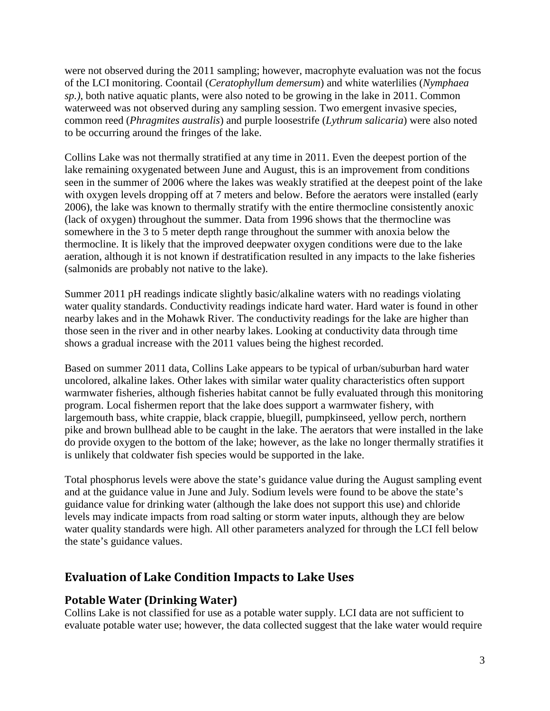were not observed during the 2011 sampling; however, macrophyte evaluation was not the focus of the LCI monitoring. Coontail (*Ceratophyllum demersum*) and white waterlilies (*Nymphaea sp.)*, both native aquatic plants, were also noted to be growing in the lake in 2011. Common waterweed was not observed during any sampling session. Two emergent invasive species, common reed (*Phragmites australis*) and purple loosestrife (*Lythrum salicaria*) were also noted to be occurring around the fringes of the lake.

 with oxygen levels dropping off at 7 meters and below. Before the aerators were installed (early 2006), the lake was known to thermally stratify with the entire thermocline consistently anoxic Collins Lake was not thermally stratified at any time in 2011. Even the deepest portion of the lake remaining oxygenated between June and August, this is an improvement from conditions seen in the summer of 2006 where the lakes was weakly stratified at the deepest point of the lake (lack of oxygen) throughout the summer. Data from 1996 shows that the thermocline was somewhere in the 3 to 5 meter depth range throughout the summer with anoxia below the thermocline. It is likely that the improved deepwater oxygen conditions were due to the lake aeration, although it is not known if destratification resulted in any impacts to the lake fisheries (salmonids are probably not native to the lake).

Summer 2011 pH readings indicate slightly basic/alkaline waters with no readings violating water quality standards. Conductivity readings indicate hard water. Hard water is found in other nearby lakes and in the Mohawk River. The conductivity readings for the lake are higher than those seen in the river and in other nearby lakes. Looking at conductivity data through time shows a gradual increase with the 2011 values being the highest recorded.

 Based on summer 2011 data, Collins Lake appears to be typical of urban/suburban hard water do provide oxygen to the bottom of the lake; however, as the lake no longer thermally stratifies it uncolored, alkaline lakes. Other lakes with similar water quality characteristics often support warmwater fisheries, although fisheries habitat cannot be fully evaluated through this monitoring program. Local fishermen report that the lake does support a warmwater fishery, with largemouth bass, white crappie, black crappie, bluegill, pumpkinseed, yellow perch, northern pike and brown bullhead able to be caught in the lake. The aerators that were installed in the lake is unlikely that coldwater fish species would be supported in the lake.

 guidance value for drinking water (although the lake does not support this use) and chloride levels may indicate impacts from road salting or storm water inputs, although they are below water quality standards were high. All other parameters analyzed for through the LCI fell below Total phosphorus levels were above the state's guidance value during the August sampling event and at the guidance value in June and July. Sodium levels were found to be above the state's the state's guidance values.

### **Evaluation of Lake Condition Impacts to Lake Uses**

#### **Potable Water (Drinking Water)**

 Collins Lake is not classified for use as a potable water supply. LCI data are not sufficient to evaluate potable water use; however, the data collected suggest that the lake water would require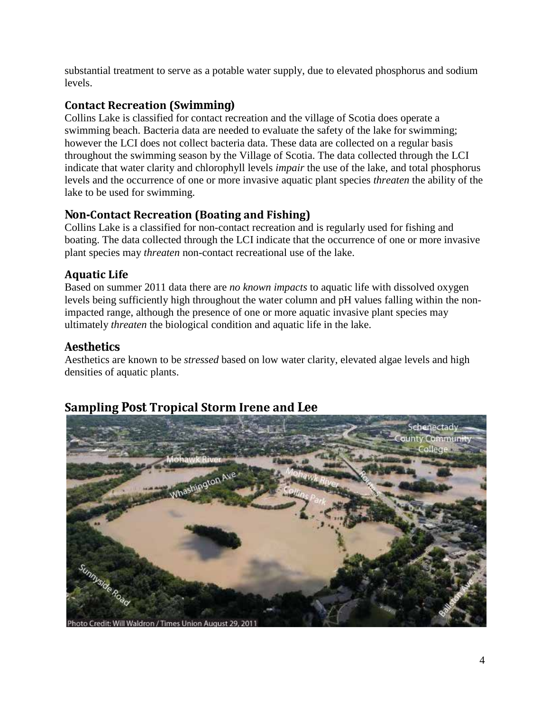substantial treatment to serve as a potable water supply, due to elevated phosphorus and sodium levels.

### **Contact Recreation (Swimming)**

 throughout the swimming season by the Village of Scotia. The data collected through the LCI indicate that water clarity and chlorophyll levels *impair* the use of the lake, and total phosphorus Collins Lake is classified for contact recreation and the village of Scotia does operate a swimming beach. Bacteria data are needed to evaluate the safety of the lake for swimming; however the LCI does not collect bacteria data. These data are collected on a regular basis levels and the occurrence of one or more invasive aquatic plant species *threaten* the ability of the lake to be used for swimming.

### **Non-Contact Recreation (Boating and Fishing)**

Collins Lake is a classified for non-contact recreation and is regularly used for fishing and boating. The data collected through the LCI indicate that the occurrence of one or more invasive plant species may *threaten* non-contact recreational use of the lake.

### **Aquatic Life**

 Based on summer 2011 data there are *no known impacts* to aquatic life with dissolved oxygen levels being sufficiently high throughout the water column and pH values falling within the nonimpacted range, although the presence of one or more aquatic invasive plant species may ultimately *threaten* the biological condition and aquatic life in the lake.

### **Aesthetics**

 Aesthetics are known to be *stressed* based on low water clarity, elevated algae levels and high densities of aquatic plants.

## **Sampling Post Tropical Storm Irene and Lee**

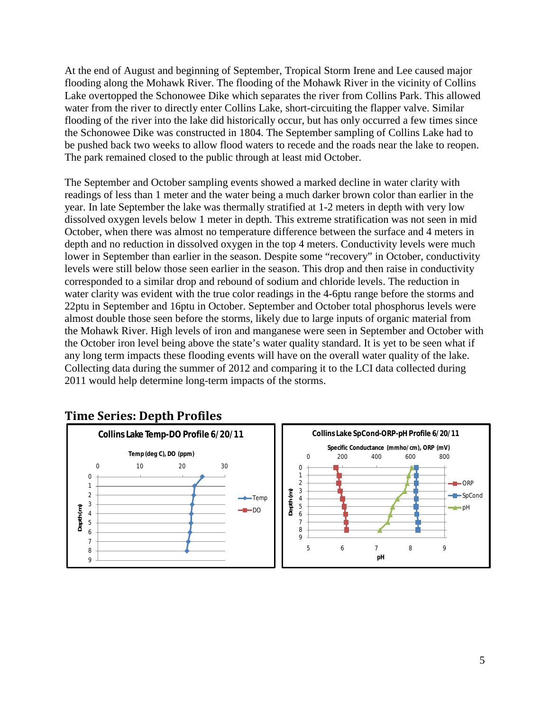At the end of August and beginning of September, Tropical Storm Irene and Lee caused major flooding along the Mohawk River. The flooding of the Mohawk River in the vicinity of Collins Lake overtopped the Schonowee Dike which separates the river from Collins Park. This allowed water from the river to directly enter Collins Lake, short-circuiting the flapper valve. Similar flooding of the river into the lake did historically occur, but has only occurred a few times since the Schonowee Dike was constructed in 1804. The September sampling of Collins Lake had to be pushed back two weeks to allow flood waters to recede and the roads near the lake to reopen. The park remained closed to the public through at least mid October.

 readings of less than 1 meter and the water being a much darker brown color than earlier in the October, when there was almost no temperature difference between the surface and 4 meters in 22ptu in September and 16ptu in October. September and October total phosphorus levels were The September and October sampling events showed a marked decline in water clarity with year. In late September the lake was thermally stratified at 1-2 meters in depth with very low dissolved oxygen levels below 1 meter in depth. This extreme stratification was not seen in mid depth and no reduction in dissolved oxygen in the top 4 meters. Conductivity levels were much lower in September than earlier in the season. Despite some "recovery" in October, conductivity levels were still below those seen earlier in the season. This drop and then raise in conductivity corresponded to a similar drop and rebound of sodium and chloride levels. The reduction in water clarity was evident with the true color readings in the 4-6ptu range before the storms and almost double those seen before the storms, likely due to large inputs of organic material from the Mohawk River. High levels of iron and manganese were seen in September and October with the October iron level being above the state's water quality standard. It is yet to be seen what if any long term impacts these flooding events will have on the overall water quality of the lake. Collecting data during the summer of 2012 and comparing it to the LCI data collected during 2011 would help determine long-term impacts of the storms.



### **Time Series: Depth Profiles**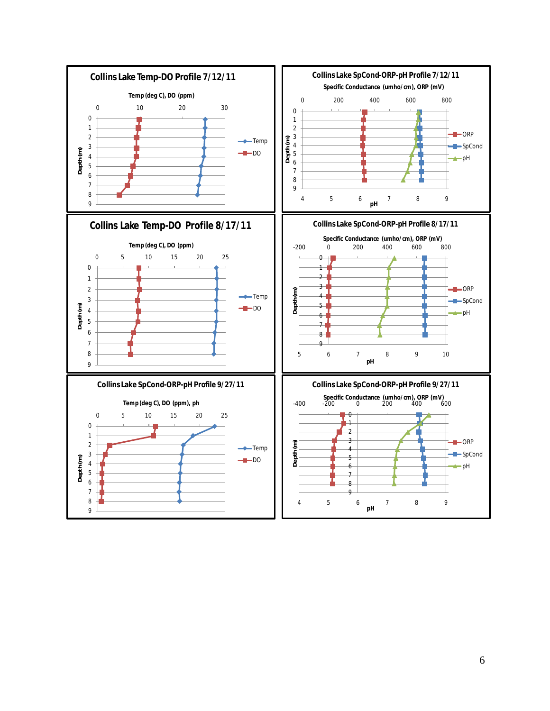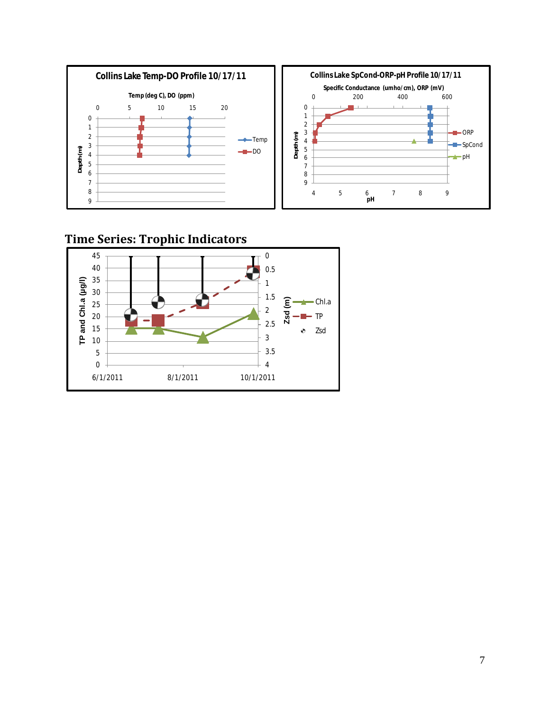

## **Time Series: Trophic Indicators**

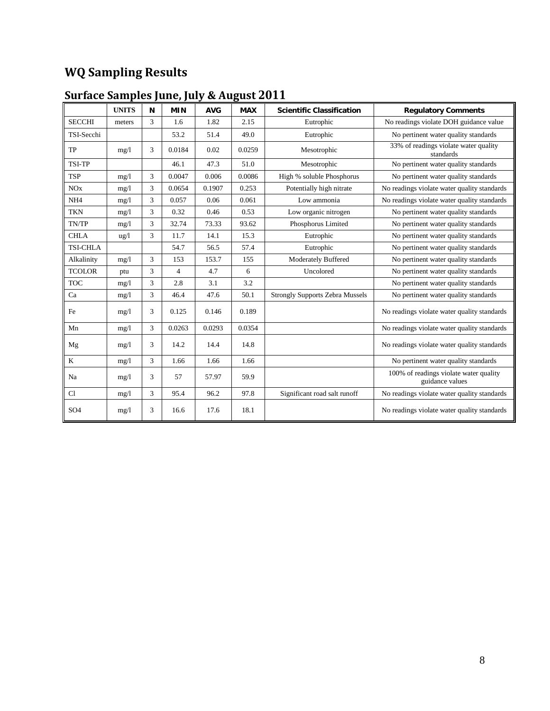## **WQ Sampling Results**

|                 | <b>UNITS</b> | N              | <b>MIN</b>     | <b>AVG</b> | <b>MAX</b> | <b>Scientific Classification</b>       | <b>Regulatory Comments</b>                                |
|-----------------|--------------|----------------|----------------|------------|------------|----------------------------------------|-----------------------------------------------------------|
| <b>SECCHI</b>   | meters       | 3              | 1.6            | 1.82       | 2.15       | Eutrophic                              | No readings violate DOH guidance value                    |
| TSI-Secchi      |              |                | 53.2           | 51.4       | 49.0       | Eutrophic                              | No pertinent water quality standards                      |
| TP              | mg/1         | 3              | 0.0184         | 0.02       | 0.0259     | Mesotrophic                            | 33% of readings violate water quality<br>standards        |
| TSI-TP          |              |                | 46.1           | 47.3       | 51.0       | Mesotrophic                            | No pertinent water quality standards                      |
| <b>TSP</b>      | mg/1         | 3              | 0.0047         | 0.006      | 0.0086     | High % soluble Phosphorus              | No pertinent water quality standards                      |
| NOx             | mg/1         | 3              | 0.0654         | 0.1907     | 0.253      | Potentially high nitrate               | No readings violate water quality standards               |
| NH <sub>4</sub> | mg/1         | 3              | 0.057          | 0.06       | 0.061      | Low ammonia                            | No readings violate water quality standards               |
| <b>TKN</b>      | mg/1         | 3              | 0.32           | 0.46       | 0.53       | Low organic nitrogen                   | No pertinent water quality standards                      |
| TN/TP           | mg/1         | 3              | 32.74          | 73.33      | 93.62      | Phosphorus Limited                     | No pertinent water quality standards                      |
| <b>CHLA</b>     | ug/l         | 3              | 11.7           | 14.1       | 15.3       | Eutrophic                              | No pertinent water quality standards                      |
| <b>TSI-CHLA</b> |              |                | 54.7           | 56.5       | 57.4       | Eutrophic                              | No pertinent water quality standards                      |
| Alkalinity      | mg/1         | 3              | 153            | 153.7      | 155        | <b>Moderately Buffered</b>             | No pertinent water quality standards                      |
| <b>TCOLOR</b>   | ptu          | 3              | $\overline{4}$ | 4.7        | 6          | Uncolored                              | No pertinent water quality standards                      |
| <b>TOC</b>      | mg/1         | 3              | 2.8            | 3.1        | 3.2        |                                        | No pertinent water quality standards                      |
| Ca              | mg/1         | 3              | 46.4           | 47.6       | 50.1       | <b>Strongly Supports Zebra Mussels</b> | No pertinent water quality standards                      |
| Fe              | mg/1         | 3              | 0.125          | 0.146      | 0.189      |                                        | No readings violate water quality standards               |
| Mn              | mg/1         | $\overline{3}$ | 0.0263         | 0.0293     | 0.0354     |                                        | No readings violate water quality standards               |
| Mg              | mg/1         | 3              | 14.2           | 14.4       | 14.8       |                                        | No readings violate water quality standards               |
| $\bf K$         | mg/1         | 3              | 1.66           | 1.66       | 1.66       |                                        | No pertinent water quality standards                      |
| Na              | mg/1         | 3              | 57             | 57.97      | 59.9       |                                        | 100% of readings violate water quality<br>guidance values |
| Cl              | mg/1         | 3              | 95.4           | 96.2       | 97.8       | Significant road salt runoff           | No readings violate water quality standards               |
| SO <sub>4</sub> | mg/1         | 3              | 16.6           | 17.6       | 18.1       |                                        | No readings violate water quality standards               |

#### **Surface Samples June, July & August 2011**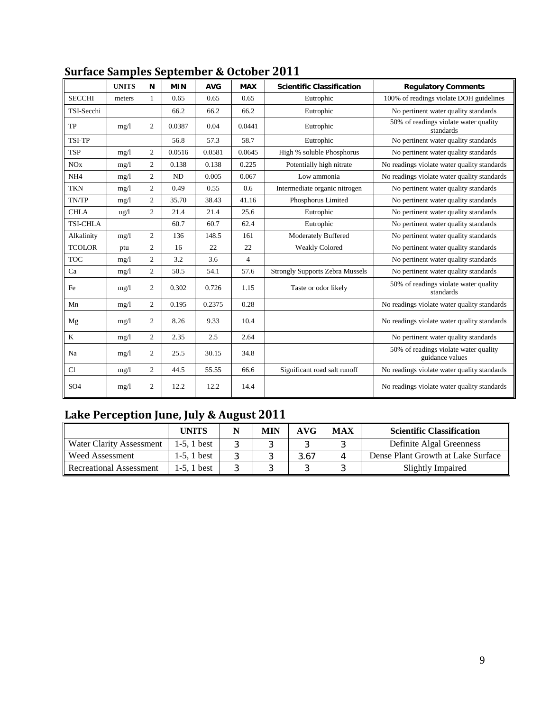|                 | <b>UNITS</b>    | N              | <b>MIN</b> | <b>AVG</b> | <b>MAX</b>     | <b>Scientific Classification</b>            | <b>Regulatory Comments</b>                               |
|-----------------|-----------------|----------------|------------|------------|----------------|---------------------------------------------|----------------------------------------------------------|
|                 |                 |                |            |            |                |                                             |                                                          |
| <b>SECCHI</b>   | meters          | 1              | 0.65       | 0.65       | 0.65           | Eutrophic                                   | 100% of readings violate DOH guidelines                  |
| TSI-Secchi      |                 |                | 66.2       | 66.2       | 66.2           | Eutrophic                                   | No pertinent water quality standards                     |
| TP              | mg/1            | $\overline{2}$ | 0.0387     | 0.04       | 0.0441         | Eutrophic                                   | 50% of readings violate water quality<br>standards       |
| <b>TSI-TP</b>   |                 |                | 56.8       | 57.3       | 58.7           | Eutrophic                                   | No pertinent water quality standards                     |
| <b>TSP</b>      | mg/1            | 2              | 0.0516     | 0.0581     | 0.0645         | High % soluble Phosphorus                   | No pertinent water quality standards                     |
| NOx             | mg/1            | 2              | 0.138      | 0.138      | 0.225          | Potentially high nitrate                    | No readings violate water quality standards              |
| NH <sub>4</sub> | mg/1            | 2              | <b>ND</b>  | 0.005      | 0.067          | Low ammonia                                 | No readings violate water quality standards              |
| <b>TKN</b>      | mg/1            | 2              | 0.49       | 0.55       | 0.6            | Intermediate organic nitrogen               | No pertinent water quality standards                     |
| TN/TP           | mg/1            | $\overline{2}$ | 35.70      | 38.43      | 41.16          | Phosphorus Limited                          | No pertinent water quality standards                     |
| <b>CHLA</b>     | $\frac{u g}{l}$ | 2              | 21.4       | 21.4       | 25.6           | Eutrophic                                   | No pertinent water quality standards                     |
| <b>TSI-CHLA</b> |                 |                | 60.7       | 60.7       | 62.4           | Eutrophic                                   | No pertinent water quality standards                     |
| Alkalinity      | mg/1            | $\mathfrak{2}$ | 136        | 148.5      | 161            | <b>Moderately Buffered</b>                  | No pertinent water quality standards                     |
| <b>TCOLOR</b>   | ptu             | 2              | 16         | 22         | 22             | <b>Weakly Colored</b>                       | No pertinent water quality standards                     |
| <b>TOC</b>      | mg/1            | 2              | 3.2        | 3.6        | $\overline{4}$ |                                             | No pertinent water quality standards                     |
| Ca              | mg/1            | 2              | 50.5       | 54.1       | 57.6           | <b>Strongly Supports Zebra Mussels</b>      | No pertinent water quality standards                     |
| Fe              | mg/1            | 2              | 0.302      | 0.726      | 1.15           | Taste or odor likely                        | 50% of readings violate water quality<br>standards       |
| Mn              | mg/1            | 2              | 0.195      | 0.2375     | 0.28           |                                             | No readings violate water quality standards              |
| Mg              | mg/1            | $\mathbf{2}$   | 8.26       | 9.33       | 10.4           |                                             | No readings violate water quality standards              |
| K               | mg/1            | $\overline{2}$ | 2.35       | 2.5        | 2.64           |                                             | No pertinent water quality standards                     |
| Na              | mg/1            | 2              | 25.5       | 30.15      | 34.8           |                                             | 50% of readings violate water quality<br>guidance values |
| Cl              | mg/1            | $\overline{2}$ | 44.5       | 55.55      | 66.6           | Significant road salt runoff                | No readings violate water quality standards              |
| SO <sub>4</sub> | mg/1            | 2              | 12.2       | 12.2       | 14.4           | No readings violate water quality standards |                                                          |

### **Surface Samples September & October 2011**

### **Lake Perception June, July & August 2011**

|                                | <b>UNITS</b>   | <b>MIN</b> | AVG  | <b>MAX</b> | <b>Scientific Classification</b>   |
|--------------------------------|----------------|------------|------|------------|------------------------------------|
| Water Clarity Assessment       | $1-5$ , 1 best |            |      |            | Definite Algal Greenness           |
| <b>Weed Assessment</b>         | 1-5.1 best     |            | 3.67 |            | Dense Plant Growth at Lake Surface |
| <b>Recreational Assessment</b> | $1-5.1$ best   |            |      |            | Slightly Impaired                  |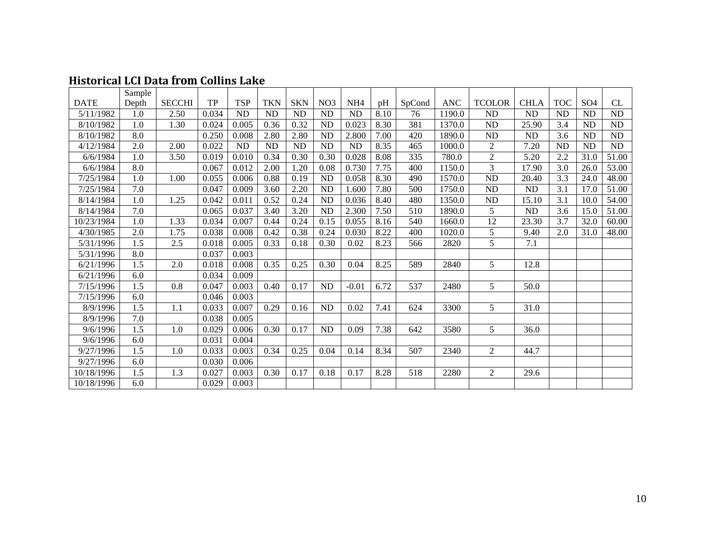|             | Sample           |               |       |            |            |            |                 |                 |      |                  |            |                |                  |                  |                 |                 |
|-------------|------------------|---------------|-------|------------|------------|------------|-----------------|-----------------|------|------------------|------------|----------------|------------------|------------------|-----------------|-----------------|
| <b>DATE</b> | Depth            | <b>SECCHI</b> | TP    | <b>TSP</b> | <b>TKN</b> | <b>SKN</b> | NO <sub>3</sub> | NH <sub>4</sub> | pH   | SpCond           | <b>ANC</b> | <b>TCOLOR</b>  | <b>CHLA</b>      | <b>TOC</b>       | SO <sub>4</sub> | CL              |
| 5/11/1982   | 1.0              | 2.50          | 0.034 | <b>ND</b>  | <b>ND</b>  | <b>ND</b>  | <b>ND</b>       | <b>ND</b>       | 8.10 | 76               | 1190.0     | <b>ND</b>      | <b>ND</b>        | <b>ND</b>        | ${\rm ND}$      | $\rm ND$        |
| 8/10/1982   | 1.0              | 1.30          | 0.024 | 0.005      | 0.36       | 0.32       | <b>ND</b>       | 0.023           | 8.30 | 381              | 1370.0     | <b>ND</b>      | 25.90            | 3.4              | <b>ND</b>       | <b>ND</b>       |
| 8/10/1982   | 8.0              |               | 0.250 | 0.008      | 2.80       | 2.80       | <b>ND</b>       | 2.800           | 7.00 | 420              | 1890.0     | ND             | <b>ND</b>        | 3.6              | <b>ND</b>       | <b>ND</b>       |
| 4/12/1984   | 2.0              | 2.00          | 0.022 | $\rm ND$   | <b>ND</b>  | ND         | <b>ND</b>       | <b>ND</b>       | 8.35 | 465              | 1000.0     | $\sqrt{2}$     | 7.20             | <b>ND</b>        | ${\rm ND}$      | $\overline{ND}$ |
| 6/6/1984    | 1.0              | 3.50          | 0.019 | 0.010      | 0.34       | 0.30       | 0.30            | 0.028           | 8.08 | 335              | 780.0      | $\overline{2}$ | 5.20             | 2.2              | 31.0            | 51.00           |
| 6/6/1984    | 8.0              |               | 0.067 | 0.012      | 2.00       | 1.20       | 0.08            | 0.730           | 7.75 | 400              | 1150.0     | 3              | 17.90            | 3.0              | 26.0            | 53.00           |
| 7/25/1984   | 1.0              | 1.00          | 0.055 | 0.006      | 0.88       | 0.19       | <b>ND</b>       | 0.058           | 8.30 | 490              | 1570.0     | <b>ND</b>      | 20.40            | 3.3              | 24.0            | 48.00           |
| 7/25/1984   | 7.0              |               | 0.047 | 0.009      | 3.60       | 2.20       | <b>ND</b>       | 1.600           | 7.80 | 500              | 1750.0     | <b>ND</b>      | <b>ND</b>        | 3.1              | 17.0            | 51.00           |
| 8/14/1984   | 1.0              | 1.25          | 0.042 | 0.011      | 0.52       | 0.24       | ND              | 0.036           | 8.40 | 480              | 1350.0     | <b>ND</b>      | 15.10            | 3.1              | 10.0            | 54.00           |
| 8/14/1984   | 7.0              |               | 0.065 | 0.037      | 3.40       | 3.20       | <b>ND</b>       | 2.300           | 7.50 | 510              | 1890.0     | 5              | <b>ND</b>        | $\overline{3.6}$ | 15.0            | 51.00           |
| 10/23/1984  | 1.0              | 1.33          | 0.034 | 0.007      | 0.44       | 0.24       | 0.15            | 0.055           | 8.16 | 540              | 1660.0     | 12             | 23.30            | 3.7              | 32.0            | 60.00           |
| 4/30/1985   | 2.0              | 1.75          | 0.038 | 0.008      | 0.42       | 0.38       | 0.24            | 0.030           | 8.22 | 400              | 1020.0     | 5              | 9.40             | 2.0              | 31.0            | 48.00           |
| 5/31/1996   | $\overline{1.5}$ | 2.5           | 0.018 | 0.005      | 0.33       | 0.18       | 0.30            | 0.02            | 8.23 | 566              | 2820       | $\overline{5}$ | $\overline{7.1}$ |                  |                 |                 |
| 5/31/1996   | 8.0              |               | 0.037 | 0.003      |            |            |                 |                 |      |                  |            |                |                  |                  |                 |                 |
| 6/21/1996   | 1.5              | 2.0           | 0.018 | 0.008      | 0.35       | 0.25       | 0.30            | 0.04            | 8.25 | 589              | 2840       | 5              | 12.8             |                  |                 |                 |
| 6/21/1996   | 6.0              |               | 0.034 | 0.009      |            |            |                 |                 |      |                  |            |                |                  |                  |                 |                 |
| 7/15/1996   | 1.5              | 0.8           | 0.047 | 0.003      | 0.40       | 0.17       | <b>ND</b>       | $-0.01$         | 6.72 | 537              | 2480       | 5              | 50.0             |                  |                 |                 |
| 7/15/1996   | 6.0              |               | 0.046 | 0.003      |            |            |                 |                 |      |                  |            |                |                  |                  |                 |                 |
| 8/9/1996    | 1.5              | 1.1           | 0.033 | 0.007      | 0.29       | 0.16       | <b>ND</b>       | 0.02            | 7.41 | 624              | 3300       | 5              | 31.0             |                  |                 |                 |
| 8/9/1996    | 7.0              |               | 0.038 | 0.005      |            |            |                 |                 |      |                  |            |                |                  |                  |                 |                 |
| 9/6/1996    | 1.5              | 1.0           | 0.029 | 0.006      | 0.30       | 0.17       | <b>ND</b>       | 0.09            | 7.38 | 642              | 3580       | 5              | 36.0             |                  |                 |                 |
| 9/6/1996    | 6.0              |               | 0.031 | 0.004      |            |            |                 |                 |      |                  |            |                |                  |                  |                 |                 |
| 9/27/1996   | 1.5              | 1.0           | 0.033 | 0.003      | 0.34       | 0.25       | 0.04            | 0.14            | 8.34 | 507              | 2340       | 2              | 44.7             |                  |                 |                 |
| 9/27/1996   | 6.0              |               | 0.030 | 0.006      |            |            |                 |                 |      |                  |            |                |                  |                  |                 |                 |
| 10/18/1996  | 1.5              | 1.3           | 0.027 | 0.003      | 0.30       | 0.17       | 0.18            | 0.17            | 8.28 | $\overline{518}$ | 2280       | $\overline{2}$ | 29.6             |                  |                 |                 |
| 10/18/1996  | 6.0              |               | 0.029 | 0.003      |            |            |                 |                 |      |                  |            |                |                  |                  |                 |                 |

### **Historical LCI Data from Collins Lake**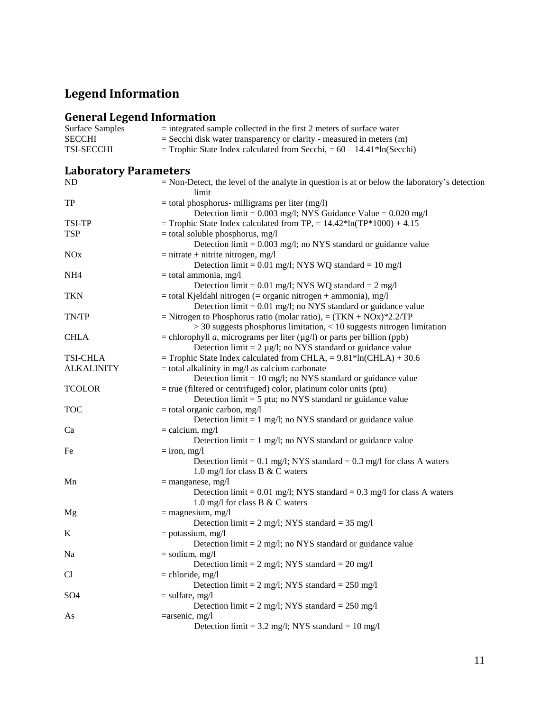# **Legend Information**

## **General Legend Information**

| <b>Surface Samples</b>       | $=$ integrated sample collected in the first 2 meters of surface water                                                                                            |
|------------------------------|-------------------------------------------------------------------------------------------------------------------------------------------------------------------|
| <b>SECCHI</b>                | $=$ Secchi disk water transparency or clarity - measured in meters $(m)$                                                                                          |
| TSI-SECCHI                   | = Trophic State Index calculated from Secchi, = $60 - 14.41*ln(Secchi)$                                                                                           |
| <b>Laboratory Parameters</b> |                                                                                                                                                                   |
| ND                           | $=$ Non-Detect, the level of the analyte in question is at or below the laboratory's detection<br>limit                                                           |
| <b>TP</b>                    | $=$ total phosphorus- milligrams per liter (mg/l)<br>Detection $limit = 0.003$ mg/l; NYS Guidance Value = $0.020$ mg/l                                            |
| TSI-TP                       | = Trophic State Index calculated from TP, = $14.42*ln(TP*1000) + 4.15$                                                                                            |
| <b>TSP</b>                   | $=$ total soluble phosphorus, mg/l<br>Detection $\lim_{t=0}$ = 0.003 mg/l; no NYS standard or guidance value                                                      |
| <b>NO<sub>x</sub></b>        | $=$ nitrate + nitrite nitrogen, mg/l<br>Detection limit = $0.01$ mg/l; NYS WQ standard = $10$ mg/l                                                                |
| NH <sub>4</sub>              | $=$ total ammonia, mg/l<br>Detection limit = $0.01$ mg/l; NYS WQ standard = $2$ mg/l                                                                              |
| <b>TKN</b>                   | $=$ total Kjeldahl nitrogen ( $=$ organic nitrogen $+$ ammonia), mg/l<br>Detection $\lim_{t=0} 0.01$ mg/l; no NYS standard or guidance value                      |
| TN/TP                        | = Nitrogen to Phosphorus ratio (molar ratio), = $(TKN + NOx)*2.2/TP$<br>$>$ 30 suggests phosphorus limitation, $<$ 10 suggests nitrogen limitation                |
| <b>CHLA</b>                  | = chlorophyll <i>a</i> , micrograms per liter ( $\mu$ g/l) or parts per billion (ppb)<br>Detection $\text{limit} = 2 \mu g/l$ ; no NYS standard or guidance value |
| <b>TSI-CHLA</b>              | = Trophic State Index calculated from CHLA, = $9.81*ln(CHLA) + 30.6$                                                                                              |
| <b>ALKALINITY</b>            | $=$ total alkalinity in mg/l as calcium carbonate<br>Detection $\lim_{t=10}$ mg/l; no NYS standard or guidance value                                              |
| <b>TCOLOR</b>                | $=$ true (filtered or centrifuged) color, platinum color units (ptu)<br>Detection $\text{limit} = 5 \text{ put}$ ; no NYS standard or guidance value              |
| <b>TOC</b>                   | $=$ total organic carbon, mg/l<br>Detection $\text{limit} = 1 \text{ mg/l}$ ; no NYS standard or guidance value                                                   |
| Ca                           | $=$ calcium, mg/l<br>Detection $\text{limit} = 1 \text{ mg/l}$ ; no NYS standard or guidance value                                                                |
| Fe                           | $=$ iron, mg/l<br>Detection limit = $0.1$ mg/l; NYS standard = $0.3$ mg/l for class A waters<br>1.0 mg/l for class B & C waters                                   |
| Mn                           | $=$ manganese, mg/l<br>Detection limit = $0.01$ mg/l; NYS standard = $0.3$ mg/l for class A waters<br>1.0 mg/l for class B & C waters                             |
| Mg                           | $=$ magnesium, mg/l<br>Detection limit = $2 \text{ mg/l}$ ; NYS standard = $35 \text{ mg/l}$                                                                      |
| K                            | $=$ potassium, mg/l<br>Detection $\text{limit} = 2 \text{ mg/l}$ ; no NYS standard or guidance value                                                              |
| Na                           | $=$ sodium, mg/l<br>Detection limit = $2 \text{ mg/l}$ ; NYS standard = $20 \text{ mg/l}$                                                                         |
| C <sub>1</sub>               | $=$ chloride, mg/l<br>Detection limit = $2 \text{ mg/l}$ ; NYS standard = $250 \text{ mg/l}$                                                                      |
| SO <sub>4</sub>              | $=$ sulfate, mg/l<br>Detection limit = $2 \text{ mg/l}$ ; NYS standard = $250 \text{ mg/l}$                                                                       |
| As                           | $=$ arsenic, mg/l<br>Detection limit = $3.2 \text{ mg/l}$ ; NYS standard = $10 \text{ mg/l}$                                                                      |